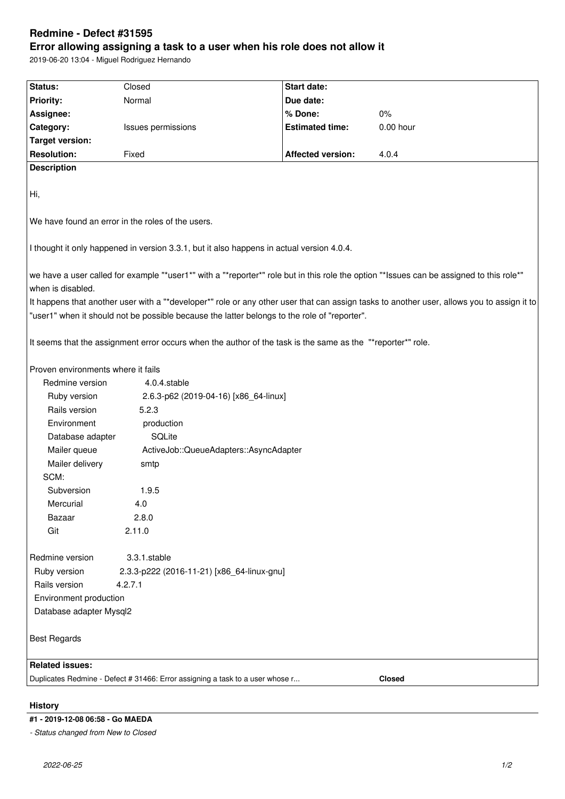# **Redmine - Defect #31595**

# **Error allowing assigning a task to a user when his role does not allow it**

2019-06-20 13:04 - Miguel Rodriguez Hernando

| Status:                                                                                                                                                       | Closed                                     | Start date:              |           |
|---------------------------------------------------------------------------------------------------------------------------------------------------------------|--------------------------------------------|--------------------------|-----------|
| <b>Priority:</b>                                                                                                                                              | Normal                                     | Due date:                |           |
| Assignee:                                                                                                                                                     |                                            | % Done:                  | $0\%$     |
| Category:                                                                                                                                                     | Issues permissions                         | <b>Estimated time:</b>   | 0.00 hour |
| <b>Target version:</b>                                                                                                                                        |                                            |                          |           |
| <b>Resolution:</b>                                                                                                                                            | Fixed                                      | <b>Affected version:</b> | 4.0.4     |
| <b>Description</b>                                                                                                                                            |                                            |                          |           |
| Hi,                                                                                                                                                           |                                            |                          |           |
| We have found an error in the roles of the users.                                                                                                             |                                            |                          |           |
| I thought it only happened in version 3.3.1, but it also happens in actual version 4.0.4.                                                                     |                                            |                          |           |
| we have a user called for example "*user1*" with a "*reporter*" role but in this role the option "*Issues can be assigned to this role*"<br>when is disabled. |                                            |                          |           |
| It happens that another user with a "*developer*" role or any other user that can assign tasks to another user, allows you to assign it to                    |                                            |                          |           |
| "user1" when it should not be possible because the latter belongs to the role of "reporter".                                                                  |                                            |                          |           |
| It seems that the assignment error occurs when the author of the task is the same as the "*reporter*" role.                                                   |                                            |                          |           |
| Proven environments where it fails                                                                                                                            |                                            |                          |           |
| Redmine version<br>4.0.4.stable                                                                                                                               |                                            |                          |           |
| Ruby version                                                                                                                                                  | 2.6.3-p62 (2019-04-16) [x86_64-linux]      |                          |           |
| Rails version                                                                                                                                                 | 5.2.3                                      |                          |           |
| Environment                                                                                                                                                   | production                                 |                          |           |
| Database adapter                                                                                                                                              | SQLite                                     |                          |           |
| Mailer queue                                                                                                                                                  | ActiveJob::QueueAdapters::AsyncAdapter     |                          |           |
| Mailer delivery                                                                                                                                               | smtp                                       |                          |           |
| SCM:                                                                                                                                                          |                                            |                          |           |
| Subversion                                                                                                                                                    | 1.9.5                                      |                          |           |
| Mercurial                                                                                                                                                     | 4.0                                        |                          |           |
| Bazaar                                                                                                                                                        | 2.8.0                                      |                          |           |
| Git                                                                                                                                                           | 2.11.0                                     |                          |           |
| Redmine version                                                                                                                                               | 3.3.1.stable                               |                          |           |
| Ruby version                                                                                                                                                  | 2.3.3-p222 (2016-11-21) [x86_64-linux-gnu] |                          |           |
| Rails version                                                                                                                                                 | 4.2.7.1                                    |                          |           |
| Environment production                                                                                                                                        |                                            |                          |           |
| Database adapter Mysql2                                                                                                                                       |                                            |                          |           |
| <b>Best Regards</b>                                                                                                                                           |                                            |                          |           |
|                                                                                                                                                               |                                            |                          |           |
| <b>Related issues:</b>                                                                                                                                        |                                            |                          |           |
| Duplicates Redmine - Defect # 31466: Error assigning a task to a user whose r<br><b>Closed</b>                                                                |                                            |                          |           |
|                                                                                                                                                               |                                            |                          |           |

#### **History**

### **#1 - 2019-12-08 06:58 - Go MAEDA**

*- Status changed from New to Closed*